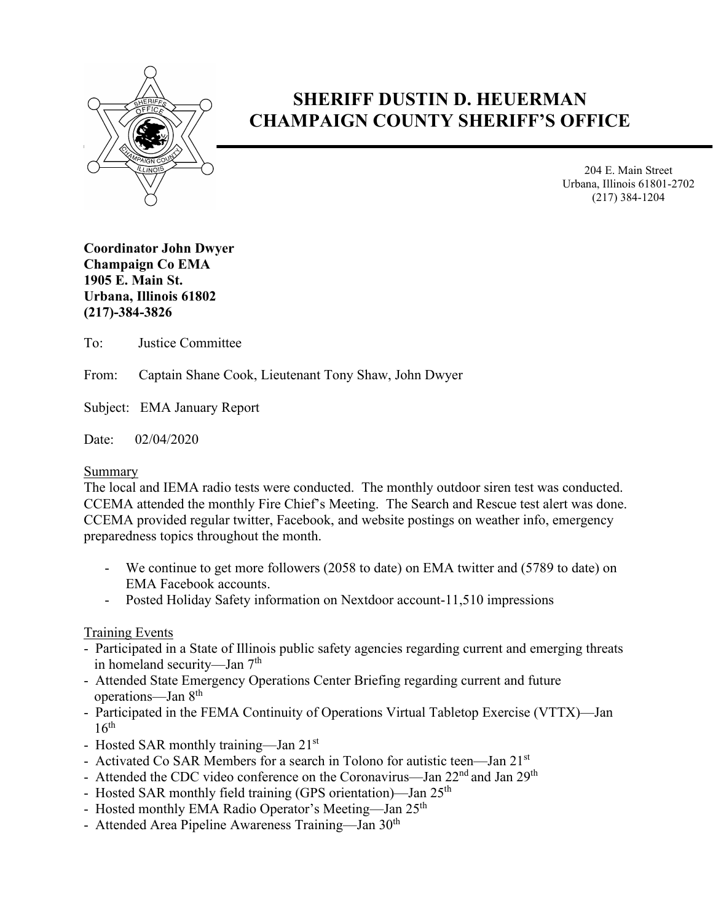

# **SHERIFF DUSTIN D. HEUERMAN CHAMPAIGN COUNTY SHERIFF'S OFFICE**

204 E. Main Street Urbana, Illinois 61801-2702 (217) 384-1204

**Coordinator John Dwyer Champaign Co EMA 1905 E. Main St. Urbana, Illinois 61802 (217)-384-3826**

To: Justice Committee

From: Captain Shane Cook, Lieutenant Tony Shaw, John Dwyer

Subject: EMA January Report

Date: 02/04/2020

#### Summary

The local and IEMA radio tests were conducted. The monthly outdoor siren test was conducted. CCEMA attended the monthly Fire Chief's Meeting. The Search and Rescue test alert was done. CCEMA provided regular twitter, Facebook, and website postings on weather info, emergency preparedness topics throughout the month.

- We continue to get more followers (2058 to date) on EMA twitter and (5789 to date) on EMA Facebook accounts.
- Posted Holiday Safety information on Nextdoor account-11,510 impressions

### Training Events

- Participated in a State of Illinois public safety agencies regarding current and emerging threats in homeland security—Jan  $7<sup>th</sup>$
- Attended State Emergency Operations Center Briefing regarding current and future operations—Jan 8th
- Participated in the FEMA Continuity of Operations Virtual Tabletop Exercise (VTTX)—Jan  $16<sup>th</sup>$
- Hosted SAR monthly training—Jan 21st
- Activated Co SAR Members for a search in Tolono for autistic teen—Jan 21<sup>st</sup>
- Attended the CDC video conference on the Coronavirus—Jan  $22<sup>nd</sup>$  and Jan  $29<sup>th</sup>$
- Hosted SAR monthly field training (GPS orientation)—Jan 25<sup>th</sup>
- Hosted monthly EMA Radio Operator's Meeting—Jan 25<sup>th</sup>
- Attended Area Pipeline Awareness Training—Jan 30<sup>th</sup>